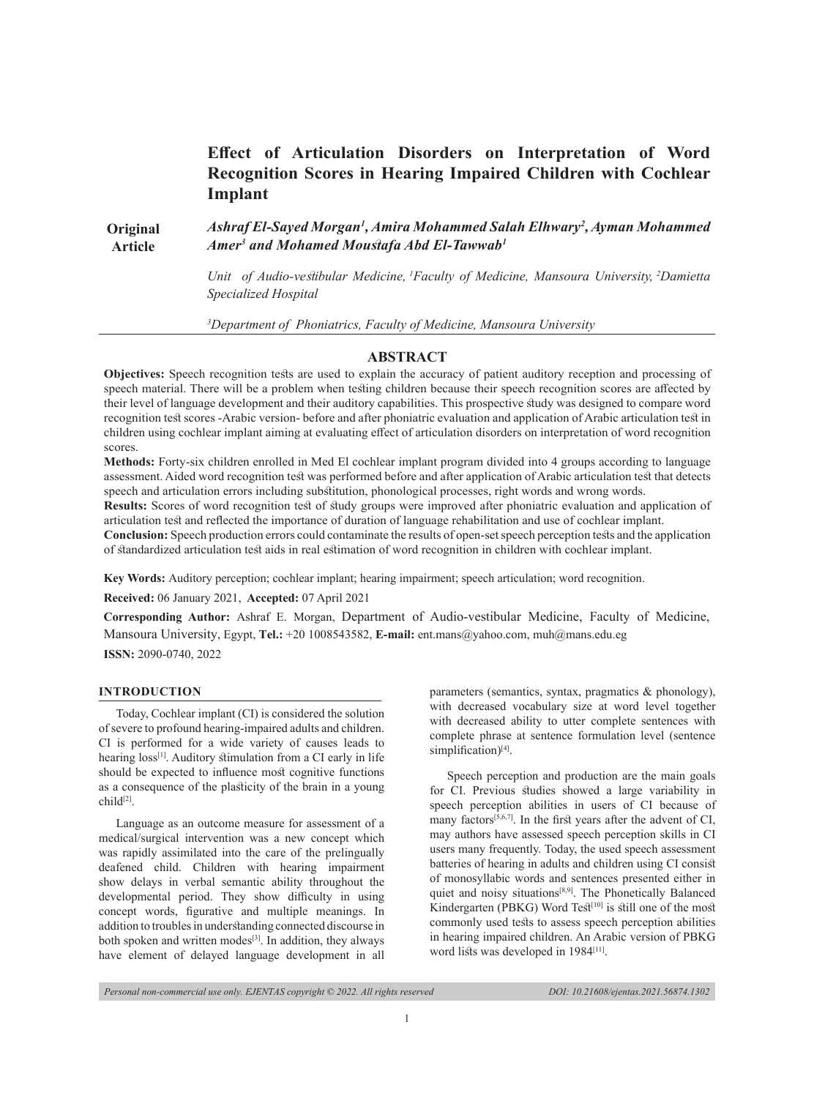# **Effect of Articulation Disorders on Interpretation of Word Recognition Scores in Hearing Impaired Children with Cochlear Implant**

**Original Article**  *Ashraf El-Sayed Morgan1 , Amira Mohammed Salah Elhwary2 , Ayman Mohammed Amer3 and Mohamed Moustafa Abd El-Tawwab<sup>1</sup>*

> *Unit of Audio-vestibular Medicine, 1Faculty of Medicine, Mansoura University,<sup>2</sup>Damietta Specialized Hospital*

*3 Department of Phoniatrics, Faculty of Medicine, Mansoura University*

# **ABSTRACT**

**Objectives:** Speech recognition tests are used to explain the accuracy of patient auditory reception and processing of speech material. There will be a problem when testing children because their speech recognition scores are affected by their level of language development and their auditory capabilities. This prospective study was designed to compare word recognition test scores -Arabic version- before and after phoniatric evaluation and application of Arabic articulation test in children using cochlear implant aiming at evaluating effect of articulation disorders on interpretation of word recognition scores.

**Methods:** Forty-six children enrolled in Med El cochlear implant program divided into 4 groups according to language assessment. Aided word recognition test was performed before and after application of Arabic articulation test that detects speech and articulation errors including substitution, phonological processes, right words and wrong words.

**Results:** Scores of word recognition test of study groups were improved after phoniatric evaluation and application of articulation test and reflected the importance of duration of language rehabilitation and use of cochlear implant.

**Conclusion:** Speech production errors could contaminate the results of open-set speech perception tests and the application of standardized articulation test aids in real estimation of word recognition in children with cochlear implant.

**Key Words:** Auditory perception; cochlear implant; hearing impairment; speech articulation; word recognition.

**Received:** 06 January 2021, **Accepted:** 07 April 2021

**Corresponding Author:** Ashraf E. Morgan, Department of Audio-vestibular Medicine, Faculty of Medicine, Mansoura University, Egypt, **Tel.:** +20 1008543582, **E-mail:** ent.mans@yahoo.com, muh@mans.edu.eg

**ISSN:** 2090-0740, 2022

## **INTRODUCTION**

Today, Cochlear implant (CI) is considered the solution of severe to profound hearing-impaired adults and children. CI is performed for a wide variety of causes leads to hearing loss<sup>[1]</sup>. Auditory stimulation from a CI early in life should be expected to influence most cognitive functions as a consequence of the plasticity of the brain in a young child[2].

Language as an outcome measure for assessment of a medical/surgical intervention was a new concept which was rapidly assimilated into the care of the prelingually deafened child. Children with hearing impairment show delays in verbal semantic ability throughout the developmental period. They show difficulty in using concept words, figurative and multiple meanings. In addition to troubles in understanding connected discourse in both spoken and written modes<sup>[3]</sup>. In addition, they always have element of delayed language development in all

parameters (semantics, syntax, pragmatics & phonology), with decreased vocabulary size at word level together with decreased ability to utter complete sentences with complete phrase at sentence formulation level (sentence simplification)<sup>[4]</sup>.

Speech perception and production are the main goals for CI. Previous studies showed a large variability in speech perception abilities in users of CI because of many factors<sup>[5,6,7]</sup>. In the first years after the advent of CI, may authors have assessed speech perception skills in CI users many frequently. Today, the used speech assessment batteries of hearing in adults and children using CI consist of monosyllabic words and sentences presented either in quiet and noisy situations<sup>[8,9]</sup>. The Phonetically Balanced Kindergarten (PBKG) Word Test<sup>[10]</sup> is still one of the most commonly used tests to assess speech perception abilities in hearing impaired children. An Arabic version of PBKG word lists was developed in 1984<sup>[11]</sup>.

*Personal non-commercial use only. EJENTAS copyright © 2022. All rights reserved DOI: 10.21608/ejentas.2021.56874.1302*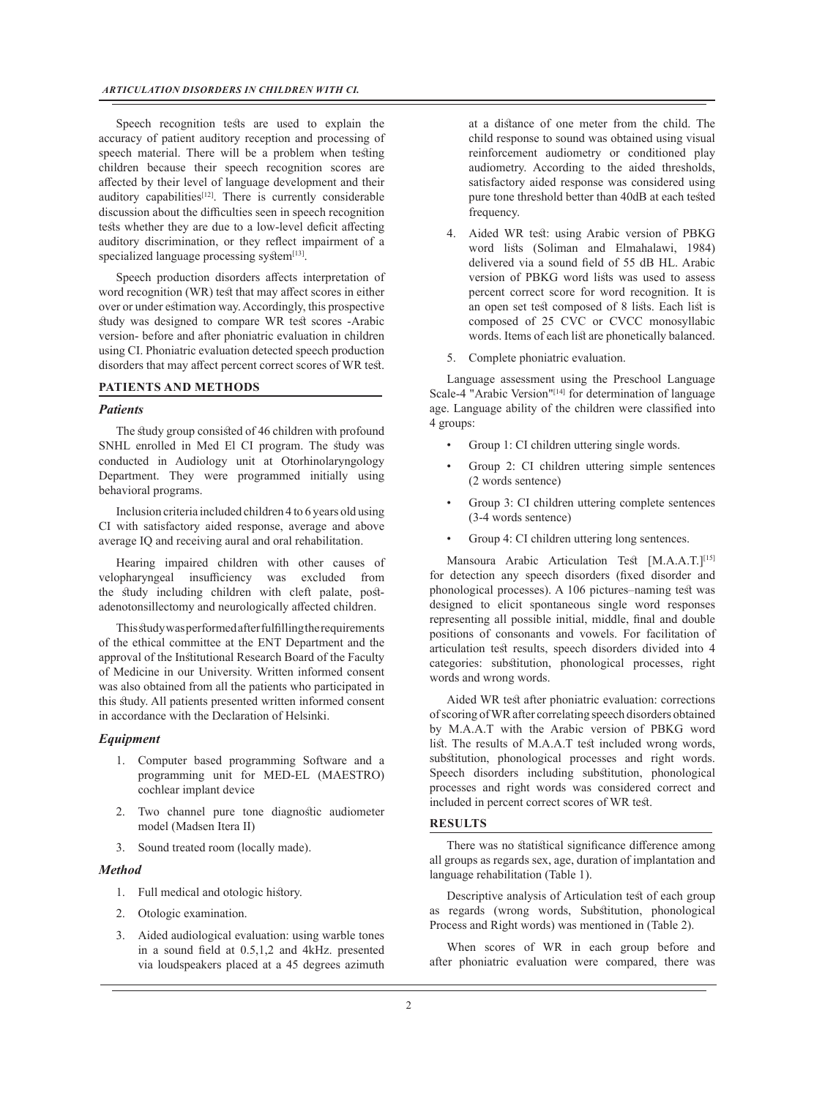Speech recognition tests are used to explain the accuracy of patient auditory reception and processing of speech material. There will be a problem when testing children because their speech recognition scores are affected by their level of language development and their auditory capabilities $[12]$ . There is currently considerable discussion about the difficulties seen in speech recognition tests whether they are due to a low-level deficit affecting auditory discrimination, or they reflect impairment of a specialized language processing system<sup>[13]</sup>.

Speech production disorders affects interpretation of word recognition (WR) test that may affect scores in either over or under estimation way. Accordingly, this prospective study was designed to compare WR test scores -Arabic version- before and after phoniatric evaluation in children using CI. Phoniatric evaluation detected speech production disorders that may affect percent correct scores of WR test.

# **PATIENTS AND METHODS**

### *Patients*

The study group consisted of 46 children with profound SNHL enrolled in Med El CI program. The study was conducted in Audiology unit at Otorhinolaryngology Department. They were programmed initially using behavioral programs.

Inclusion criteria included children 4 to 6 years old using CI with satisfactory aided response, average and above average IQ and receiving aural and oral rehabilitation.

Hearing impaired children with other causes of velopharyngeal insufficiency was excluded from the study including children with cleft palate, postadenotonsillectomy and neurologically affected children.

This study was performed after fulfilling the requirements of the ethical committee at the ENT Department and the approval of the Institutional Research Board of the Faculty of Medicine in our University. Written informed consent was also obtained from all the patients who participated in this study. All patients presented written informed consent in accordance with the Declaration of Helsinki.

### *Equipment*

- 1. Computer based programming Software and a programming unit for MED-EL (MAESTRO) cochlear implant device
- 2. Two channel pure tone diagnostic audiometer model (Madsen Itera II)
- 3. Sound treated room (locally made).

#### *Method*

- 1. Full medical and otologic history.
- 2. Otologic examination.
- 3. Aided audiological evaluation: using warble tones in a sound field at 0.5,1,2 and 4kHz. presented via loudspeakers placed at a 45 degrees azimuth

at a distance of one meter from the child. The child response to sound was obtained using visual reinforcement audiometry or conditioned play audiometry. According to the aided thresholds, satisfactory aided response was considered using pure tone threshold better than 40dB at each tested frequency.

- 4. Aided WR test: using Arabic version of PBKG word lists (Soliman and Elmahalawi, 1984) delivered via a sound field of 55 dB HL. Arabic version of PBKG word lists was used to assess percent correct score for word recognition. It is an open set test composed of 8 lists. Each list is composed of 25 CVC or CVCC monosyllabic words. Items of each list are phonetically balanced.
- 5. Complete phoniatric evaluation.

Language assessment using the Preschool Language Scale-4 "Arabic Version"<sup>[14]</sup> for determination of language age. Language ability of the children were classified into 4 groups:

- Group 1: CI children uttering single words.
- Group 2: CI children uttering simple sentences (2 words sentence)
- Group 3: CI children uttering complete sentences (3-4 words sentence)
- Group 4: CI children uttering long sentences.

Mansoura Arabic Articulation Test [M.A.A.T.]<sup>[15]</sup> for detection any speech disorders (fixed disorder and phonological processes). A 106 pictures–naming test was designed to elicit spontaneous single word responses representing all possible initial, middle, final and double positions of consonants and vowels. For facilitation of articulation test results, speech disorders divided into 4 categories: substitution, phonological processes, right words and wrong words.

Aided WR test after phoniatric evaluation: corrections of scoring of WR after correlating speech disorders obtained by M.A.A.T with the Arabic version of PBKG word list. The results of M.A.A.T test included wrong words, substitution, phonological processes and right words. Speech disorders including substitution, phonological processes and right words was considered correct and included in percent correct scores of WR test.

#### **RESULTS**

There was no statistical significance difference among all groups as regards sex, age, duration of implantation and language rehabilitation (Table 1).

Descriptive analysis of Articulation test of each group as regards (wrong words, Substitution, phonological Process and Right words) was mentioned in (Table 2).

When scores of WR in each group before and after phoniatric evaluation were compared, there was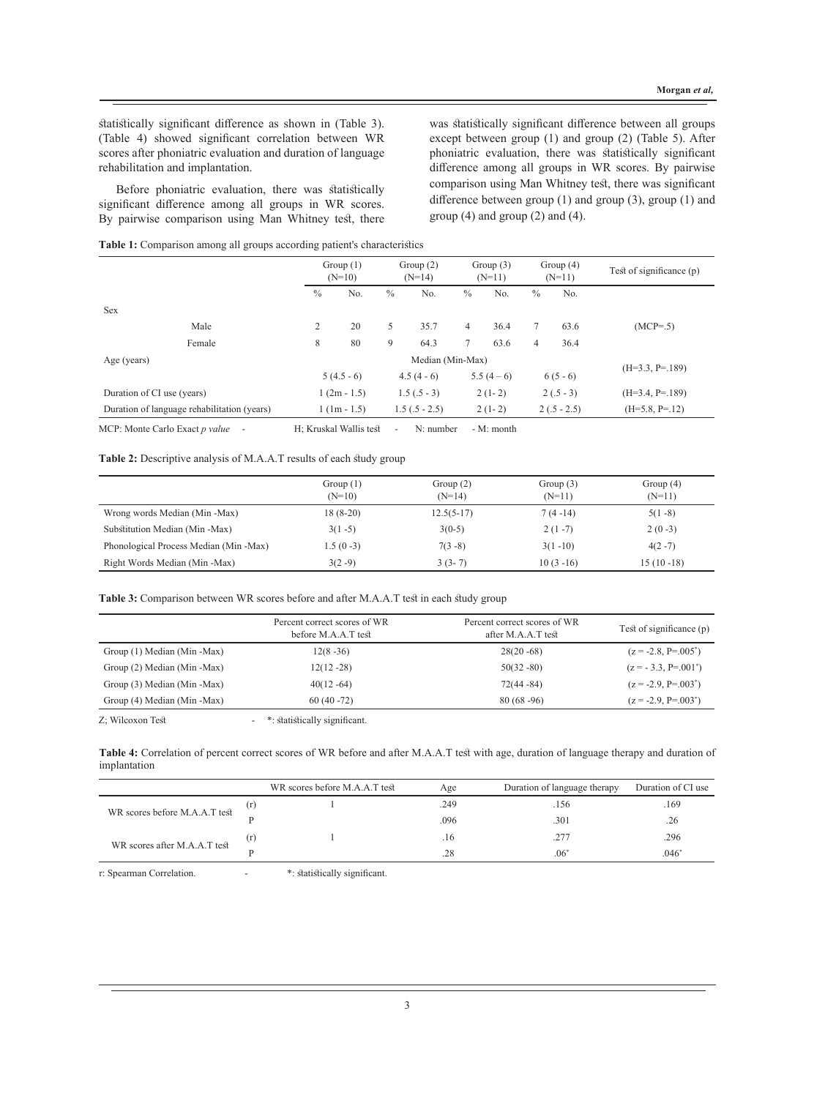statistically significant difference as shown in (Table 3). (Table 4) showed significant correlation between WR scores after phoniatric evaluation and duration of language rehabilitation and implantation.

Before phoniatric evaluation, there was statistically significant difference among all groups in WR scores. By pairwise comparison using Man Whitney test, there was statistically significant difference between all groups except between group (1) and group (2) (Table 5). After phoniatric evaluation, there was statistically significant difference among all groups in WR scores. By pairwise comparison using Man Whitney test, there was significant difference between group (1) and group (3), group (1) and group (4) and group (2) and (4).

|  |  | Table 1: Comparison among all groups according patient's characteristics |  |  |  |
|--|--|--------------------------------------------------------------------------|--|--|--|
|--|--|--------------------------------------------------------------------------|--|--|--|

|                                             | Group $(1)$<br>$(N=10)$ |                  |               | Group $(2)$<br>$(N=14)$ | Group $(3)$<br>$(N=11)$ |            | Group $(4)$<br>$(N=11)$ |               | Test of significance $(p)$ |
|---------------------------------------------|-------------------------|------------------|---------------|-------------------------|-------------------------|------------|-------------------------|---------------|----------------------------|
|                                             | $\frac{0}{0}$           | No.              | $\frac{0}{0}$ | No.                     | $\%$                    | No.        | $\%$                    | No.           |                            |
| <b>Sex</b>                                  |                         |                  |               |                         |                         |            |                         |               |                            |
| Male                                        | 2                       | 20               | 5             | 35.7                    | $\overline{4}$          | 36.4       |                         | 63.6          | $(MCP=.5)$                 |
| Female                                      | 8                       | 80               | 9             | 64.3                    |                         | 63.6       | 4                       | 36.4          |                            |
| Age (years)                                 |                         | Median (Min-Max) |               |                         |                         |            |                         |               |                            |
|                                             |                         | $5(4.5-6)$       |               | $4.5(4-6)$              |                         | $5.5(4-6)$ |                         | $6(5-6)$      | $(H=3.3, P=.189)$          |
| Duration of CI use (years)                  |                         | $1(2m-1.5)$      |               | $1.5(.5-3)$             |                         | $2(1-2)$   |                         | $2(.5-3)$     | $(H=3.4, P=.189)$          |
| Duration of language rehabilitation (years) |                         | $1 (1m - 1.5)$   |               | $1.5(.5 - 2.5)$         |                         | $2(1-2)$   |                         | $2(.5 - 2.5)$ | $(H=5.8, P=.12)$           |

MCP: Monte Carlo Exact *p value* - H; Kruskal Wallis test - N: number - M: month

Table 2: Descriptive analysis of M.A.A.T results of each study group

|                                        | Group $(1)$<br>$(N=10)$ | Group $(2)$<br>$(N=14)$ | Group $(3)$<br>$(N=11)$ | Group $(4)$<br>$(N=11)$ |
|----------------------------------------|-------------------------|-------------------------|-------------------------|-------------------------|
| Wrong words Median (Min -Max)          | $18(8-20)$              | $12.5(5-17)$            | $7(4-14)$               | $5(1-8)$                |
| Substitution Median (Min - Max)        | $3(1 - 5)$              | $3(0-5)$                | $2(1-7)$                | $2(0-3)$                |
| Phonological Process Median (Min -Max) | $1.5(0-3)$              | $7(3-8)$                | $3(1 - 10)$             | $4(2-7)$                |
| Right Words Median (Min -Max)          | $3(2-9)$                | $3(3-7)$                | $10(3-16)$              | $15(10-18)$             |

Table 3: Comparison between WR scores before and after M.A.A.T test in each study group

|                             | Percent correct scores of WR<br>before M.A.A.T test | Percent correct scores of WR<br>after M.A.A.T test | Test of significance (p) |
|-----------------------------|-----------------------------------------------------|----------------------------------------------------|--------------------------|
| Group (1) Median (Min -Max) | $12(8-36)$                                          | $28(20 - 68)$                                      | $(z = -2.8, P = .005^*)$ |
| Group (2) Median (Min -Max) | $12(12 - 28)$                                       | $50(32 - 80)$                                      | $(z = -3.3, P = .001^*)$ |
| Group (3) Median (Min -Max) | $40(12 - 64)$                                       | $72(44 - 84)$                                      | $(z = -2.9, P = .003^*)$ |
| Group (4) Median (Min -Max) | $60(40 - 72)$                                       | $80(68-96)$                                        | $(z = -2.9, P = .003^*)$ |

Z; Wilcoxon Test  $\qquad$  - \*: statistically significant.

**Table 4:** Correlation of percent correct scores of WR before and after M.A.A.T test with age, duration of language therapy and duration of implantation

|                               | WR scores before M.A.A.T test | Age  | Duration of language therapy | Duration of CI use |
|-------------------------------|-------------------------------|------|------------------------------|--------------------|
| WR scores before M.A.A.T test |                               | .249 | .156                         | .169               |
|                               |                               | .096 | .301                         | .26                |
|                               |                               | .16  | .277                         | .296               |
| WR scores after M.A.A.T test  |                               | .28  | $.06^{\circ}$                | $.046*$            |

r: Spearman Correlation.  $\qquad \qquad$  \*: statistically significant.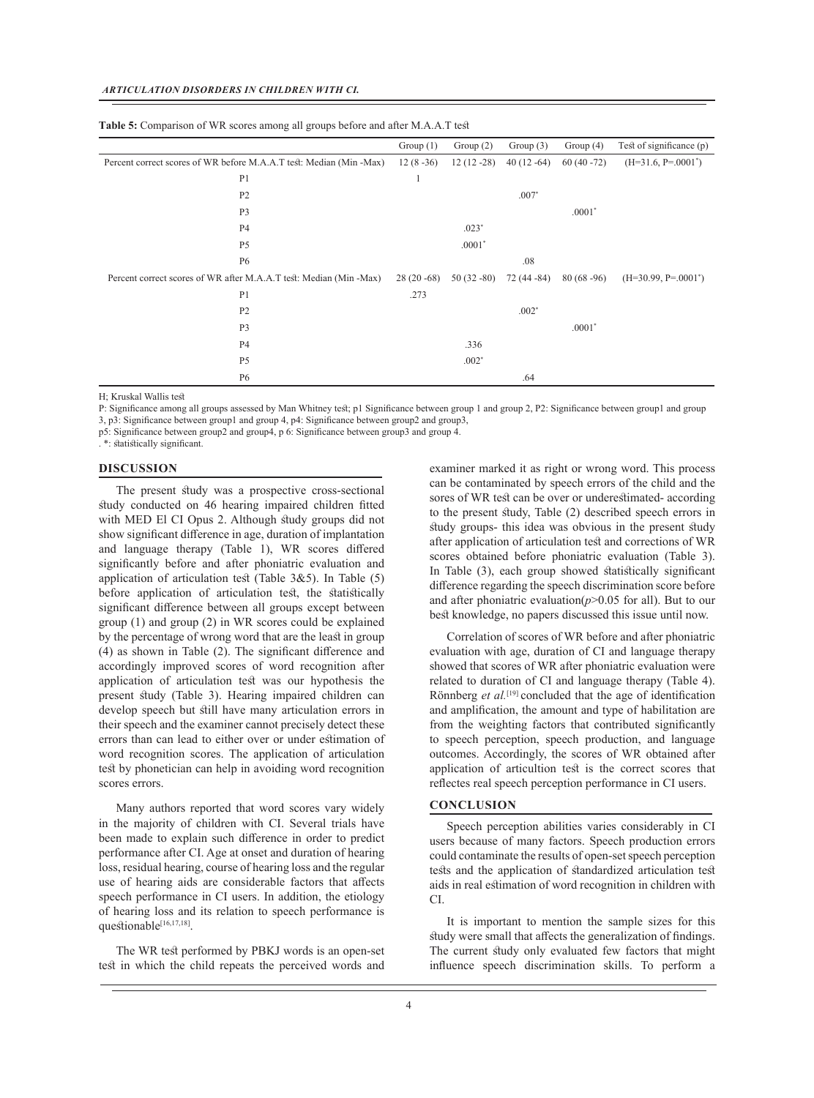|                                                                     | Group $(1)$ | Group $(2)$ | Group $(3)$ | Group $(4)$   | Test of significance $(p)$ |
|---------------------------------------------------------------------|-------------|-------------|-------------|---------------|----------------------------|
| Percent correct scores of WR before M.A.A.T test: Median (Min -Max) |             | $12(12-28)$ | $40(12-64)$ | $60(40 - 72)$ | $(H=31.6, P=.0001^*)$      |
| P <sub>1</sub>                                                      | 1           |             |             |               |                            |
| P <sub>2</sub>                                                      |             |             | $.007*$     |               |                            |
| P <sub>3</sub>                                                      |             |             |             | $.0001*$      |                            |
| <b>P4</b>                                                           |             | $.023*$     |             |               |                            |
| P <sub>5</sub>                                                      |             | $.0001*$    |             |               |                            |
| <b>P6</b>                                                           |             |             | .08         |               |                            |
| Percent correct scores of WR after M.A.A.T test: Median (Min -Max)  | $28(20-68)$ | $50(32-80)$ | $72(44-84)$ | $80(68-96)$   | $(H=30.99, P=.0001^*)$     |
| P <sub>1</sub>                                                      | .273        |             |             |               |                            |
| P <sub>2</sub>                                                      |             |             | $.002*$     |               |                            |
| P <sub>3</sub>                                                      |             |             |             | $.0001*$      |                            |
| <b>P4</b>                                                           |             | .336        |             |               |                            |
| P <sub>5</sub>                                                      |             | $.002*$     |             |               |                            |
| <b>P6</b>                                                           |             |             | .64         |               |                            |

H; Kruskal Wallis test

P: Significance among all groups assessed by Man Whitney test; p1 Significance between group 1 and group 2, P2: Significance between group1 and group 3, p3: Significance between group1 and group 4, p4: Significance between group2 and group3,

p5: Significance between group2 and group4, p 6: Significance between group3 and group 4.

. \*: statistically significant.

#### **DISCUSSION**

The present study was a prospective cross-sectional study conducted on 46 hearing impaired children fitted with MED El CI Opus 2. Although study groups did not show significant difference in age, duration of implantation and language therapy (Table 1), WR scores differed significantly before and after phoniatric evaluation and application of articulation test (Table 3&5). In Table (5) before application of articulation test, the statistically significant difference between all groups except between group (1) and group (2) in WR scores could be explained by the percentage of wrong word that are the least in group (4) as shown in Table (2). The significant difference and accordingly improved scores of word recognition after application of articulation test was our hypothesis the present study (Table 3). Hearing impaired children can develop speech but still have many articulation errors in their speech and the examiner cannot precisely detect these errors than can lead to either over or under estimation of word recognition scores. The application of articulation test by phonetician can help in avoiding word recognition scores errors.

Many authors reported that word scores vary widely in the majority of children with CI. Several trials have been made to explain such difference in order to predict performance after CI. Age at onset and duration of hearing loss, residual hearing, course of hearing loss and the regular use of hearing aids are considerable factors that affects speech performance in CI users. In addition, the etiology of hearing loss and its relation to speech performance is questionable[16,17,18].

The WR test performed by PBKJ words is an open-set test in which the child repeats the perceived words and examiner marked it as right or wrong word. This process can be contaminated by speech errors of the child and the sores of WR test can be over or underestimated- according to the present study, Table (2) described speech errors in study groups- this idea was obvious in the present study after application of articulation test and corrections of WR scores obtained before phoniatric evaluation (Table 3). In Table (3), each group showed statistically significant difference regarding the speech discrimination score before and after phoniatric evaluation $(p>0.05$  for all). But to our best knowledge, no papers discussed this issue until now.

Correlation of scores of WR before and after phoniatric evaluation with age, duration of CI and language therapy showed that scores of WR after phoniatric evaluation were related to duration of CI and language therapy (Table 4). Rönnberg *et al.*[19] concluded that the age of identification and amplification, the amount and type of habilitation are from the weighting factors that contributed significantly to speech perception, speech production, and language outcomes. Accordingly, the scores of WR obtained after application of articultion test is the correct scores that reflectes real speech perception performance in CI users.

### **CONCLUSION**

Speech perception abilities varies considerably in CI users because of many factors. Speech production errors could contaminate the results of open-set speech perception tests and the application of standardized articulation test aids in real estimation of word recognition in children with CI.

It is important to mention the sample sizes for this study were small that affects the generalization of findings. The current study only evaluated few factors that might influence speech discrimination skills. To perform a